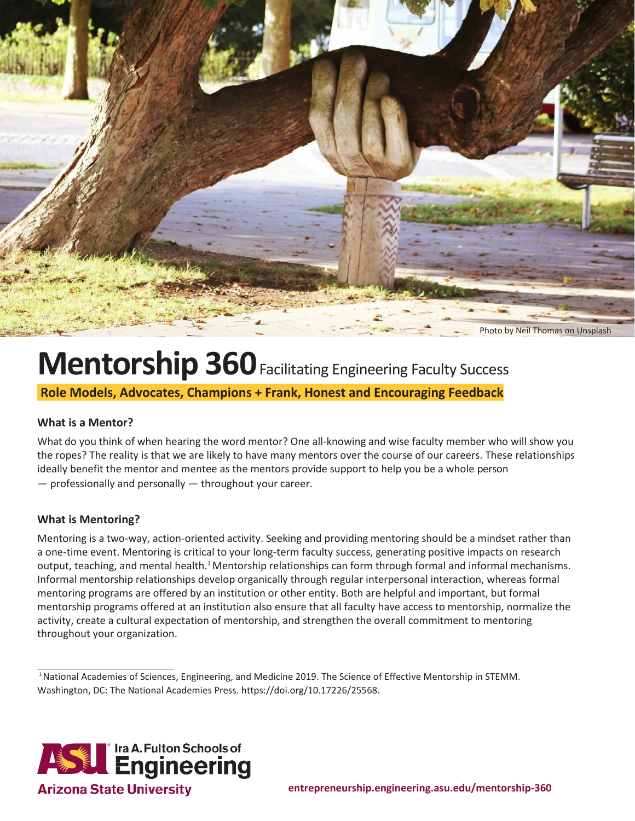

## **Mentorship 360** Facilitating Engineering Faculty Success

**Role Models, Advocates, Champions + Frank, Honest and Encouraging Feedback**

### **What is a Mentor?**

What do you think of when hearing the word mentor? One all-knowing and wise faculty member who will show you the ropes? The reality is that we are likely to have many mentors over the course of our careers. These relationships ideally benefit the mentor and mentee as the mentors provide support to help you be a whole person — professionally and personally — throughout your career.

### **What is Mentoring?**

Mentoring is a two-way, action-oriented activity. Seeking and providing mentoring should be a mindset rather than a one-time event. Mentoring is critical to your long-term faculty success, generating positive impacts on research output, teaching, and mental health.<sup>1</sup>Mentorship relationships can form through formal and informal mechanisms. Informal mentorship relationships develop organically through regular interpersonal interaction, whereas formal mentoring programs are offered by an institution or other entity. Both are helpful and important, but formal mentorship programs offered at an institution also ensure that all faculty have access to mentorship, normalize the activity, create a cultural expectation of mentorship, and strengthen the overall commitment to mentoring throughout your organization.

<sup>1</sup>National Academies of Sciences, Engineering, and Medicine 2019. The Science of Effective Mentorship in STEMM. Washington, DC: The National Academies Press. https://doi.org/10.17226/25568.